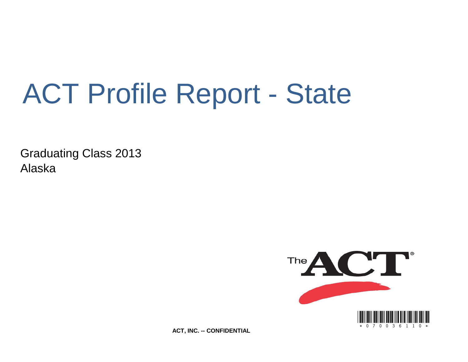# ACT Profile Report - State

Graduating Class 2013 Alaska



**ACT, INC. -- CONFIDENTIAL**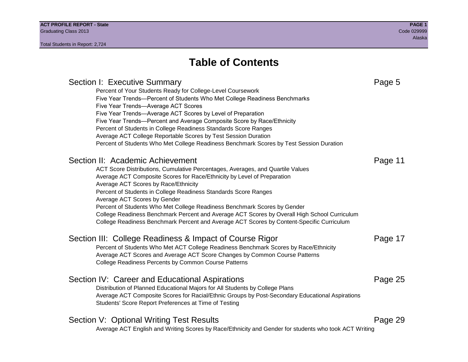### **Table of Contents**

### Section I: Executive Summary **Page 5** and the section I: Executive Summary Percent of Your Students Ready for College-Level Coursework Five Year Trends—Percent of Students Who Met College Readiness Benchmarks Five Year Trends—Average ACT Scores Five Year Trends—Average ACT Scores by Level of Preparation Five Year Trends—Percent and Average Composite Score by Race/Ethnicity Percent of Students in College Readiness Standards Score Ranges Average ACT College Reportable Scores by Test Session Duration Percent of Students Who Met College Readiness Benchmark Scores by Test Session Duration Section II: Academic Achievement **Page 11** Page 11 ACT Score Distributions, Cumulative Percentages, Averages, and Quartile Values Average ACT Composite Scores for Race/Ethnicity by Level of Preparation Average ACT Scores by Race/Ethnicity Percent of Students in College Readiness Standards Score Ranges Average ACT Scores by Gender Percent of Students Who Met College Readiness Benchmark Scores by Gender College Readiness Benchmark Percent and Average ACT Scores by Overall High School Curriculum College Readiness Benchmark Percent and Average ACT Scores by Content-Specific Curriculum Section III: College Readiness & Impact of Course Rigor Page 17 Percent of Students Who Met ACT College Readiness Benchmark Scores by Race/Ethnicity Average ACT Scores and Average ACT Score Changes by Common Course Patterns College Readiness Percents by Common Course Patterns Section IV: Career and Educational Aspirations **Page 25** Page 25 Distribution of Planned Educational Majors for All Students by College Plans Average ACT Composite Scores for Racial/Ethnic Groups by Post-Secondary Educational Aspirations Students' Score Report Preferences at Time of Testing Section V: Optional Writing Test Results **Page 29** Page 29 Average ACT English and Writing Scores by Race/Ethnicity and Gender for students who took ACT Writing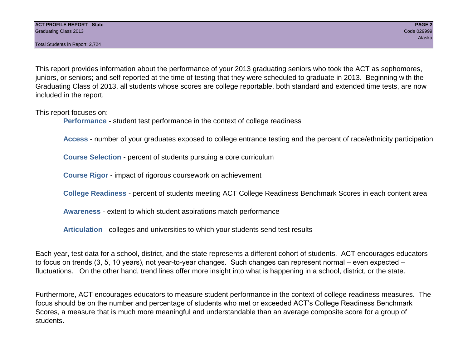This report provides information about the performance of your 2013 graduating seniors who took the ACT as sophomores, juniors, or seniors; and self-reported at the time of testing that they were scheduled to graduate in 2013. Beginning with the Graduating Class of 2013, all students whose scores are college reportable, both standard and extended time tests, are now included in the report.

This report focuses on:

**Performance** - student test performance in the context of college readiness

**Access** - number of your graduates exposed to college entrance testing and the percent of race/ethnicity participation

**Course Selection** - percent of students pursuing a core curriculum

**Course Rigor** - impact of rigorous coursework on achievement

**College Readiness** - percent of students meeting ACT College Readiness Benchmark Scores in each content area

**Awareness** - extent to which student aspirations match performance

**Articulation** - colleges and universities to which your students send test results

Each year, test data for a school, district, and the state represents a different cohort of students. ACT encourages educators to focus on trends (3, 5, 10 years), not year-to-year changes. Such changes can represent normal – even expected – fluctuations. On the other hand, trend lines offer more insight into what is happening in a school, district, or the state.

Furthermore, ACT encourages educators to measure student performance in the context of college readiness measures. The focus should be on the number and percentage of students who met or exceeded ACT's College Readiness Benchmark Scores, a measure that is much more meaningful and understandable than an average composite score for a group of students.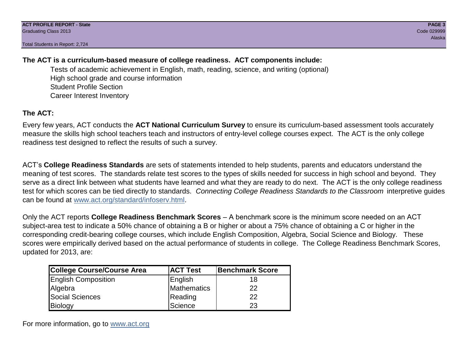#### **The ACT is a curriculum-based measure of college readiness. ACT components include:**

Tests of academic achievement in English, math, reading, science, and writing (optional) High school grade and course information Student Profile Section Career Interest Inventory

#### **The ACT:**

Every few years, ACT conducts the **ACT National Curriculum Survey** to ensure its curriculum-based assessment tools accurately measure the skills high school teachers teach and instructors of entry-level college courses expect. The ACT is the only college readiness test designed to reflect the results of such a survey.

ACT's **College Readiness Standards** are sets of statements intended to help students, parents and educators understand the meaning of test scores. The standards relate test scores to the types of skills needed for success in high school and beyond. They serve as a direct link between what students have learned and what they are ready to do next. The ACT is the only college readiness test for which scores can be tied directly to standards. *Connecting College Readiness Standards to the Classroom* interpretive guides can be found at www.act.org/standard/infoserv.html.

Only the ACT reports **College Readiness Benchmark Scores** – A benchmark score is the minimum score needed on an ACT subject-area test to indicate a 50% chance of obtaining a B or higher or about a 75% chance of obtaining a C or higher in the corresponding credit-bearing college courses, which include English Composition, Algebra, Social Science and Biology. These scores were empirically derived based on the actual performance of students in college. The College Readiness Benchmark Scores, updated for 2013, are:

| College Course/Course Area | <b>ACT Test</b> | <b>Benchmark Score</b> |
|----------------------------|-----------------|------------------------|
| <b>English Composition</b> | English         | 18                     |
| Algebra                    | Mathematics     | 22                     |
| <b>Social Sciences</b>     | Reading         | 22                     |
| Biology                    | Science         | 23                     |

For more information, go to www.act.org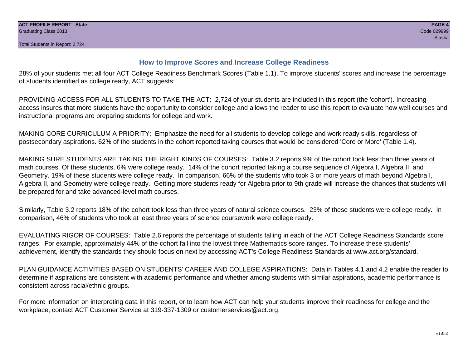#### **How to Improve Scores and Increase College Readiness**

28% of your students met all four ACT College Readiness Benchmark Scores (Table 1.1). To improve students' scores and increase the percentage of students identified as college ready, ACT suggests:

PROVIDING ACCESS FOR ALL STUDENTS TO TAKE THE ACT: 2,724 of your students are included in this report (the 'cohort'). Increasing access insures that more students have the opportunity to consider college and allows the reader to use this report to evaluate how well courses and instructional programs are preparing students for college and work.

MAKING CORE CURRICULUM A PRIORITY: Emphasize the need for all students to develop college and work ready skills, regardless of postsecondary aspirations. 62% of the students in the cohort reported taking courses that would be considered 'Core or More' (Table 1.4).

MAKING SURE STUDENTS ARE TAKING THE RIGHT KINDS OF COURSES: Table 3.2 reports 9% of the cohort took less than three years of math courses. Of these students, 6% were college ready. 14% of the cohort reported taking a course sequence of Algebra I, Algebra II, and Geometry. 19% of these students were college ready. In comparison, 66% of the students who took 3 or more years of math beyond Algebra I, Algebra II, and Geometry were college ready. Getting more students ready for Algebra prior to 9th grade will increase the chances that students will be prepared for and take advanced-level math courses.

Similarly, Table 3.2 reports 18% of the cohort took less than three years of natural science courses. 23% of these students were college ready. In comparison, 46% of students who took at least three years of science coursework were college ready.

EVALUATING RIGOR OF COURSES: Table 2.6 reports the percentage of students falling in each of the ACT College Readiness Standards score ranges. For example, approximately 44% of the cohort fall into the lowest three Mathematics score ranges. To increase these students' achievement, identify the standards they should focus on next by accessing ACT's College Readiness Standards at www.act.org/standard.

PLAN GUIDANCE ACTIVITIES BASED ON STUDENTS' CAREER AND COLLEGE ASPIRATIONS: Data in Tables 4.1 and 4.2 enable the reader to determine if aspirations are consistent with academic performance and whether among students with similar aspirations, academic performance is consistent across racial/ethnic groups.

For more information on interpreting data in this report, or to learn how ACT can help your students improve their readiness for college and the workplace, contact ACT Customer Service at 319-337-1309 or customerservices@act.org.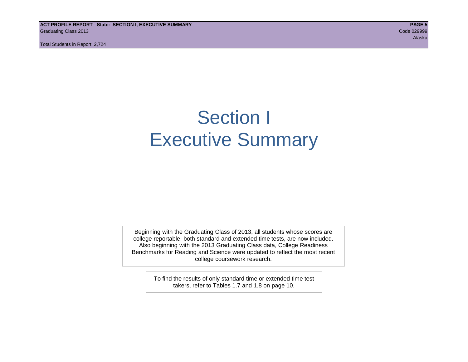**ACT PROFILE REPORT - State: SECTION I, EXECUTIVE SUMMARY PAGE 5** Graduating Class 2013 Code 029999

Total Students in Report: 2,724

### Section I Executive Summary

Beginning with the Graduating Class of 2013, all students whose scores are college reportable, both standard and extended time tests, are now included. Also beginning with the 2013 Graduating Class data, College Readiness Benchmarks for Reading and Science were updated to reflect the most recent college coursework research.

> To find the results of only standard time or extended time test takers, refer to Tables 1.7 and 1.8 on page 10.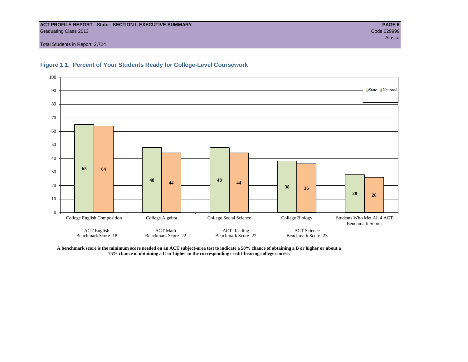#### **ACT PROFILE REPORT - State: SECTION I, EXECUTIVE SUMMARY PAGE 6** Graduating Class 2013 Code 029999

Total Students in Report: 2,724





**A benchmark score is the minimum score needed on an ACT subject-area test to indicate a 50% chance of obtaining a B or higher or about a 75% chance of obtaining a C or higher in the corresponding credit-bearing college course.**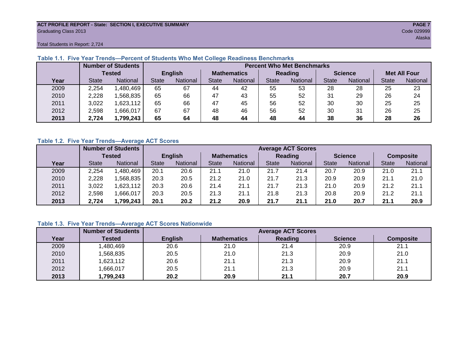#### **ACT PROFILE REPORT - State: SECTION I, EXECUTIVE SUMMARY PAGE 7** Graduating Class 2013 Code 029999

Total Students in Report: 2,724

|      |              | <b>Number of Students</b> |              | <b>Percent Who Met Benchmarks</b> |                    |          |                |          |                |          |                     |          |  |  |
|------|--------------|---------------------------|--------------|-----------------------------------|--------------------|----------|----------------|----------|----------------|----------|---------------------|----------|--|--|
|      |              | <b>Tested</b>             |              | <b>English</b>                    | <b>Mathematics</b> |          | <b>Reading</b> |          | <b>Science</b> |          | <b>Met All Four</b> |          |  |  |
| Year | <b>State</b> | <b>National</b>           | <b>State</b> | National                          | State              | National | <b>State</b>   | National | <b>State</b>   | National | <b>State</b>        | National |  |  |
| 2009 | 2,254        | 1,480,469                 | 65           | 67                                | 44                 | 42       | 55             | 53       | 28             | 28       | 25                  | 23       |  |  |
| 2010 | 2,228        | ,568,835                  | 65           | 66                                | 47                 | 43       | 55             | 52       | 31             | 29       | 26                  | 24       |  |  |
| 2011 | 3,022        | 1,623,112                 | 65           | 66                                | 47                 | 45       | 56             | 52       | 30             | 30       | 25                  | 25       |  |  |
| 2012 | 2,598        | 1,666,017                 | 67           | 67                                | 48                 | 46       | 56             | 52       | 30             | 31       | 26                  | 25       |  |  |
| 2013 | 2,724        | 1,799,243                 | 65           | 64                                | 48                 | 44       | 48             | 44       | 38             | 36       | 28                  | 26       |  |  |

#### **Table 1.1. Five Year Trends—Percent of Students Who Met College Readiness Benchmarks**

#### **Table 1.2. Five Year Trends—Average ACT Scores**

|      |              | <b>Number of Students</b> |              |                | <b>Average ACT Scores</b> |                 |              |          |                |          |                  |          |  |  |
|------|--------------|---------------------------|--------------|----------------|---------------------------|-----------------|--------------|----------|----------------|----------|------------------|----------|--|--|
|      |              | <b>Tested</b>             |              | <b>English</b> | <b>Mathematics</b>        |                 | Reading      |          | <b>Science</b> |          | <b>Composite</b> |          |  |  |
| Year | <b>State</b> | <b>National</b>           | <b>State</b> | National       |                           | <b>National</b> | <b>State</b> | National | <b>State</b>   | National | <b>State</b>     | National |  |  |
| 2009 | 2,254        | .480.469                  | 20.1         | 20.6           | 21.1                      | 21.0            | 21.7         | 21.4     | 20.7           | 20.9     | 21.0             | 21.1     |  |  |
| 2010 | 2,228        | .568.835                  | 20.3         | 20.5           | 21.2                      | 21.0            | 21.7         | 21.3     | 20.9           | 20.9     | 21.1             | 21.0     |  |  |
| 2011 | 3,022        | .623,112                  | 20.3         | 20.6           | 21.4                      | 21.1            | 21.7         | 21.3     | 21.0           | 20.9     | 21.2             | 21.1     |  |  |
| 2012 | 2,598        | .666,017                  | 20.3         | 20.5           | 21.3                      | 21.1            | 21.8         | 21.3     | 20.8           | 20.9     | 21.2             | 21.1     |  |  |
| 2013 | 2.724        | ,799,243                  | 20.1         | 20.2           | 21.2                      | 20.9            | 21.7         | 21.1     | 21.0           | 20.7     | 21.1             | 20.9     |  |  |

#### **Table 1.3. Five Year Trends—Average ACT Scores Nationwide**

|      | <b>Number of Students</b> |                |                    | <b>Average ACT Scores</b> |                |                  |
|------|---------------------------|----------------|--------------------|---------------------------|----------------|------------------|
| Year | Tested                    | <b>English</b> | <b>Mathematics</b> | Reading                   | <b>Science</b> | <b>Composite</b> |
| 2009 | ,480,469                  | 20.6           | 21.0               | 21.4                      | 20.9           | 21.1             |
| 2010 | ,568,835                  | 20.5           | 21.0               | 21.3                      | 20.9           | 21.0             |
| 2011 | ,623,112                  | 20.6           | 21.1               | 21.3                      | 20.9           | 21.1             |
| 2012 | ,666,017                  | 20.5           | 21.1               | 21.3                      | 20.9           | 21.1             |
| 2013 | ,799,243                  | 20.2           | 20.9               | 21.1                      | 20.7           | 20.9             |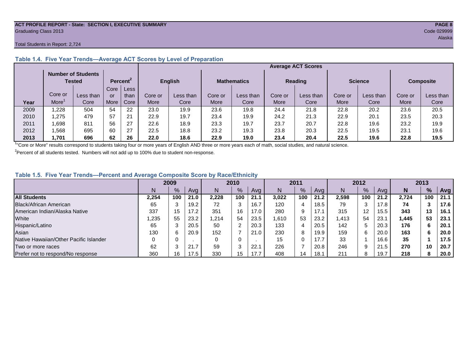#### **ACT PROFILE REPORT - State: SECTION I, EXECUTIVE SUMMARY PAGE 8** Graduating Class 2013 Code 029999

#### Total Students in Report: 2,724

|      |         | <b>Number of Students</b><br>Tested |      | Percent <sup>2</sup> |         | <b>English</b> |         | <b>Mathematics</b> | <b>Reading</b> |           | <b>Science</b> |           | <b>Composite</b> |           |
|------|---------|-------------------------------------|------|----------------------|---------|----------------|---------|--------------------|----------------|-----------|----------------|-----------|------------------|-----------|
|      |         |                                     | Core | Less                 |         |                |         |                    |                |           |                |           |                  |           |
|      | Core or | Less than                           | or   | than                 | Core or | Less than      | Core or | Less than          | Core or        | Less than | Core or        | Less than | Core or          | Less than |
| Year | More    | Core                                | More | Core                 | More    | Core           | More    | Core               | More           | Core      | More           | Core      | More             | Core      |
| 2009 | .228    | 504                                 | 54   | 22                   | 23.0    | 19.9           | 23.6    | 19.8               | 24.4           | 21.8      | 22.8           | 20.2      | 23.6             | 20.5      |
| 2010 | .275    | 479                                 | 57   | 21                   | 22.9    | 19.7           | 23.4    | 19.9               | 24.2           | 21.3      | 22.9           | 20.1      | 23.5             | 20.3      |
| 2011 | .698    | 811                                 | 56   | 27                   | 22.6    | 18.9           | 23.3    | 19.7               | 23.7           | 20.7      | 22.8           | 19.6      | 23.2             | 19.9      |
| 2012 | .568    | 695                                 | 60   | 27                   | 22.5    | 18.8           | 23.2    | 19.3               | 23.8           | 20.3      | 22.5           | 19.5      | 23.7             | 19.6      |
| 2013 | .701.   | 696                                 | 62   | 26                   | 22.0    | 18.6           | 22.9    | 19.0               | 23.4           | 20.4      | 22.5           | 19.6      | 22.8             | 19.5      |

#### **Table 1.4. Five Year Trends—Average ACT Scores by Level of Preparation**

<sup>1</sup>"Core or More" results correspond to students taking four or more years of English AND three or more years each of math, social studies, and natural science.

 $2$ Percent of all students tested. Numbers will not add up to 100% due to student non-response.

#### **Table 1.5. Five Year Trends—Percent and Average Composite Score by Race/Ethnicity**

|                                        | 2009  |      |      | 2010  |               | 2011 |       | 2012 |      |       | 2013            |      |       |     |      |
|----------------------------------------|-------|------|------|-------|---------------|------|-------|------|------|-------|-----------------|------|-------|-----|------|
|                                        | N     | $\%$ | Avg  | N     | $\frac{9}{6}$ | Avg  | N     | %    | Avg  | Ν     | %               | Ava  | N     | %   | Avg  |
| <b>All Students</b>                    | 2.254 | 100  | 21.0 | 2.228 | 100           | 21.1 | 3.022 | 100  | 21.2 | 2.598 | 100             | 21.2 | 2.724 | 100 | 21.1 |
| Black/African American                 | 65    |      | 19.2 | 72    | 3             | 16.7 | 120   | 4    | 18.5 | 79    | ⌒               | 17.8 | 74    |     | 17.6 |
| American Indian/Alaska Native          | 337   | 15   | 17.2 | 351   | 16            | 17.0 | 280   | 9    | 17.1 | 315   | 12 <sup>°</sup> | 15.5 | 343   | 13  | 16.1 |
| White                                  | ,235  | 55   | 23.2 | .214  | 54            | 23.5 | 610,  | 53   | 23.2 | .413  | 54              | 23.7 | 1,445 | 53  | 23.1 |
| Hispanic/Latino                        | 65    |      | 20.5 | 50    | າ             | 20.3 | 133   | 4    | 20.5 | 142   |                 | 20.3 | 176   | 6   | 20.1 |
| Asian                                  | 130   |      | 20.9 | 152   |               | 21.0 | 230   | 8    | 19.9 | 159   | 6               | 20.0 | 163   | 6   | 20.0 |
| Native Hawaiian/Other Pacific Islander |       |      |      | 0     | 0             |      | 15    | 0    | 17.7 | 33    |                 | 16.6 | 35    |     | 17.5 |
| Two or more races                      | 62    |      | 21.7 | 59    | $\sim$<br>ు   | 22.1 | 226   |      | 20.8 | 246   | 9               | 21.5 | 270   | 10  | 20.7 |
| Prefer not to respond/No response      | 360   | 16   | 17.5 | 330   | 15            | 17.7 | 408   | 14   | 18.1 | 211   | 8               | 19.7 | 218   | 8   | 20.0 |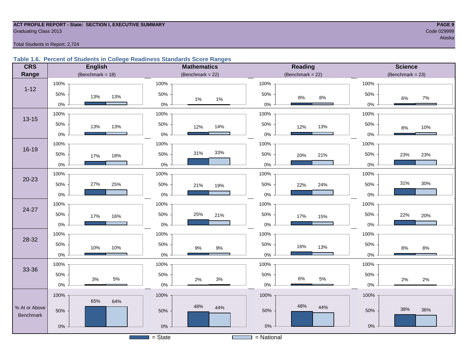#### **ACT PROFILE REPORT - State: SECTION I, EXECUTIVE SUMMARY PAGE 9** Code 029999 Craduating Class 2013

Total Students in Report: 2,724

#### **Table 1.6. Percent of Students in College Readiness Standards Score Ranges**

| <b>CRS</b>    | <b>English</b>         | <b>Mathematics</b>  | <b>Reading</b>        | <b>Science</b>       |
|---------------|------------------------|---------------------|-----------------------|----------------------|
| Range         | (Benchmark = $18$ )    | (Benchmark = $22$ ) | (Benchmark = $22$ )   | $(Benchmark = 23)$   |
|               | 100%                   | 100%                | 100%                  | 100%                 |
| $1 - 12$      | 50%<br>13%<br>13%      | 50%<br>$1\%$<br>1%  | 50%<br>$8\%$<br>$8\%$ | 50%<br>6%<br>7%      |
|               | $0\%$                  | $0\%$               | $0\%$                 | $0\%$                |
| $13 - 15$     | 100%                   | 100%                | 100%                  | 100%                 |
|               | 50%<br>13%<br>13%      | 50%<br>14%<br>12%   | 50%<br>12%<br>13%     | 50%<br>10%<br>$8\%$  |
|               | $0\%$                  | $0\%$               | $0\%$                 | 0%                   |
|               | 100%                   | 100%                | 100%                  | 100%                 |
| 16-19         | 50%<br>18%<br>17%      | 33%<br>31%<br>50%   | 50%<br>21%<br>20%     | 50%<br>23%<br>23%    |
|               | 0%                     | $0\%$               | 0%                    | 0%                   |
|               | 100%                   | 100%                | 100%                  | 100%                 |
| $20 - 23$     | 27%<br>50%<br>25%      | 50%<br>21%<br>19%   | 50%<br>24%<br>22%     | 31%<br>$30\%$<br>50% |
|               | $0\%$                  | $0\%$               | $0\%$                 | 0%                   |
| 24-27         | 100%                   | 100%                | 100%                  | 100%                 |
|               | 50%<br>17%<br>16%      | 50%<br>25%<br>21%   | 50%<br>17%<br>15%     | 50%<br>22%<br>20%    |
|               | $0\%$                  | $0\%$               | $0\%$                 | 0%                   |
| 28-32         | 100%                   | 100%                | 100%                  | 100%                 |
|               | 50%<br>10%<br>10%      | 50%<br>9%<br>$9\%$  | 50%<br>16%<br>13%     | 50%<br>8%<br>$8\%$   |
|               | $0\%$                  | $0\%$               | $0\%$                 | $0\%$                |
| 33-36         | 100%                   | 100%                | 100%                  | 100%                 |
|               | 50%                    | 50%                 | 50%<br>$6\%$          | 50%                  |
|               | $5\%$<br>$3%$<br>$0\%$ | $3%$<br>2%<br>$0\%$ | $5\%$<br>$0\%$        | 2%<br>2%<br>$0\%$    |
|               | 100%                   | 100%                | 100%                  | 100%                 |
| % At or Above | 65%<br>64%             | 48%<br>44%          | 48%<br>44%            |                      |
| Benchmark     | 50%                    | 50%                 | 50%                   | 38%<br>36%<br>50%    |
|               | $0\%$                  | $0\%$               | $0\%$                 | $0\%$                |
|               |                        | $=$ State           | $=$ National          |                      |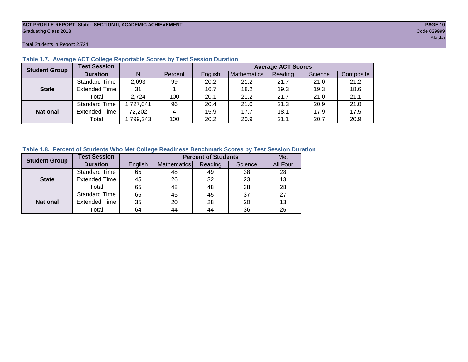#### **ACT PROFILE REPORT- State: SECTION II, ACADEMIC ACHIEVEMENT PAGE 10** Graduating Class 2013 Code 029999

Total Students in Report: 2,724

| <b>Student Group</b> | <b>Test Session</b>  |           |         | <b>Average ACT Scores</b> |             |         |         |           |  |  |  |  |  |
|----------------------|----------------------|-----------|---------|---------------------------|-------------|---------|---------|-----------|--|--|--|--|--|
|                      | <b>Duration</b>      | N         | Percent | English                   | Mathematics | Reading | Science | Composite |  |  |  |  |  |
|                      | <b>Standard Time</b> | 2,693     | 99      | 20.2                      | 21.2        | 21.7    | 21.0    | 21.2      |  |  |  |  |  |
| <b>State</b>         | <b>Extended Time</b> | 31        |         | 16.7                      | 18.2        | 19.3    | 19.3    | 18.6      |  |  |  |  |  |
|                      | Total                | 2.724     | 100     | 20.1                      | 21.2        | 21.7    | 21.0    | 21.1      |  |  |  |  |  |
|                      | <b>Standard Time</b> | 1,727,041 | 96      | 20.4                      | 21.0        | 21.3    | 20.9    | 21.0      |  |  |  |  |  |
| <b>National</b>      | <b>Extended Time</b> | 72,202    | 4       | 15.9                      | 17.7        | 18.1    | 17.9    | 17.5      |  |  |  |  |  |
|                      | Total                | ,799,243  | 100     | 20.2                      | 20.9        | 21.1    | 20.7    | 20.9      |  |  |  |  |  |

#### **Table 1.7. Average ACT College Reportable Scores by Test Session Duration**

#### **Table 1.8. Percent of Students Who Met College Readiness Benchmark Scores by Test Session Duration**

| <b>Student Group</b> | <b>Test Session</b>  |         | Met         |         |         |          |
|----------------------|----------------------|---------|-------------|---------|---------|----------|
|                      | <b>Duration</b>      | English | Mathematics | Reading | Science | All Four |
|                      | Standard Time        | 65      | 48          | 49      | 38      | 28       |
| <b>State</b>         | <b>Extended Time</b> | 45      | 26          | 32      | 23      | 13       |
|                      | Total                | 65      | 48          | 48      | 38      | 28       |
|                      | <b>Standard Time</b> | 65      | 45          | 45      | 37      | 27       |
| <b>National</b>      | <b>Extended Time</b> | 35      | 20          | 28      | 20      | 13       |
|                      | Total                | 64      | 44          | 44      | 36      | 26       |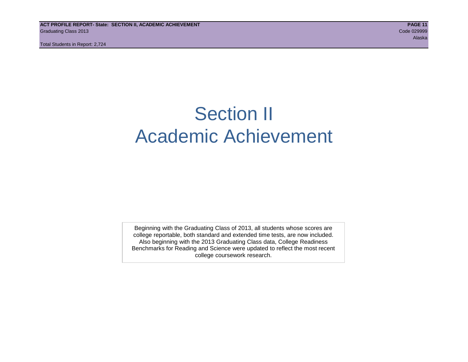## Section II Academic Achievement

Beginning with the Graduating Class of 2013, all students whose scores are college reportable, both standard and extended time tests, are now included. Also beginning with the 2013 Graduating Class data, College Readiness Benchmarks for Reading and Science were updated to reflect the most recent college coursework research.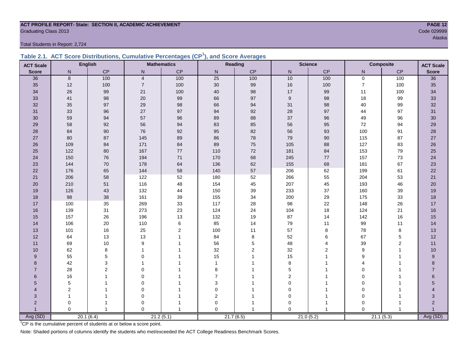### **ACT PROFILE REPORT- State: SECTION II, ACADEMIC ACHIEVEMENT PAGE 12** Graduating Class 2013 Code 029999

Total Students in Report: 2,724

|  | Table 2.1. ACT Score Distributions, Cumulative Percentages (CP <sup>1</sup> ), and Score Averages |  |  |  |
|--|---------------------------------------------------------------------------------------------------|--|--|--|
|  |                                                                                                   |  |  |  |

| <b>ACT Scale</b> |                | <b>English</b> |                | <b>Mathematics</b> |                  | Reading        |             | <b>Science</b> | <b>Composite</b> |             | <b>ACT Scale</b> |
|------------------|----------------|----------------|----------------|--------------------|------------------|----------------|-------------|----------------|------------------|-------------|------------------|
| <b>Score</b>     | N              | CP             | N              | CP                 | N                | CP             | N           | CP             | N                | CP          | <b>Score</b>     |
| 36               | 8              | 100            | $\overline{4}$ | 100                | $\overline{25}$  | 100            | 10          | 100            | $\overline{0}$   | 100         | $\overline{36}$  |
| 35               | 12             | 100            | $\overline{7}$ | 100                | $30\,$           | 99             | $16\,$      | 100            | $\overline{7}$   | 100         | 35               |
| 34               | 26             | 99             | 21             | 100                | 40               | 98             | 17          | 99             | 11               | 100         | 34               |
| 33               | 41             | 98             | 20             | $99\,$             | 66               | 97             | 9           | 98             | 18               | 99          | 33               |
| 32               | 35             | 97             | 29             | 98                 | 66               | 94             | 31          | 98             | 40               | 99          | 32               |
| 31               | 33             | 96             | 27             | 97                 | 94               | 92             | 28          | 97             | 44               | 97          | 31               |
| 30               | 59             | 94             | 57             | 96                 | 89               | 88             | 37          | 96             | 49               | 96          | 30               |
| 29               | 58             | 92             | 56             | 94                 | 83               | 85             | 56          | 95             | 72               | 94          | 29               |
| 28               | 84             | 90             | 76             | 92                 | 95               | 82             | 56          | 93             | 100              | 91          | 28               |
| 27               | 80             | 87             | 145            | 89                 | 86               | 78             | 79          | 90             | 115              | 87          | 27               |
| 26               | 109            | 84             | 171            | 84                 | 89               | 75             | 105         | 88             | 127              | 83          | 26               |
| 25               | 122            | 80             | 167            | $77\,$             | 110              | 72             | 181         | 84             | 153              | 79          | 25               |
| 24               | 150            | 76             | 194            | $71$               | 170              | 68             | 245         | $77\,$         | 157              | 73          | 24               |
| 23               | 144            | 70             | 178            | 64                 | 136              | 62             | 155         | 68             | 181              | 67          | 23               |
| 22               | 176            | 65             | 144            | 58                 | 140              | 57             | 206         | 62             | 199              | 61          | 22               |
| 21               | 206            | 58             | 122            | 52                 | 180              | 52             | 266         | 55             | 204              | 53          | 21               |
| 20               | 210            | 51             | 116            | 48                 | 154              | 45             | 207         | 45             | 193              | 46          | 20               |
| 19               | 126            | 43             | 132            | 44                 | 150              | 39             | 233         | 37             | 160              | 39          | 19               |
| 18               | 98             | 38             | 161            | $39\,$             | 155              | 34             | 200         | 29             | 175              | 33          | 18               |
| 17               | 100            | 35             | 269            | 33                 | 117              | 28             | 98          | 22             | 148              | 26          | 17               |
| 16               | 139            | 31             | 273            | 23                 | 124              | 24             | 104         | 18             | 124              | 21          | 16               |
| 15               | 157            | 26             | 196            | 13                 | 132              | 19             | 87          | 14             | 142              | 16          | 15               |
| 14               | 106            | 20             | 110            | $\,6\,$            | 85               | 14             | 79          | 11             | 99               | 11          | 14               |
| 13               | 101            | 16             | 25             | $\sqrt{2}$         | 100              | 11             | 57          | 8              | 78               | 8           | 13               |
| 12               | 64             | 13             | 13             | $\overline{1}$     | 84               | 8              | 52          | 6              | 67               | $\mathbf 5$ | 12               |
| 11               | 69             | 10             | 9              |                    | 56               | 5              | 48          | 4              | 39               | 2           | 11               |
| 10               | 62             | 8              | 1              |                    | 32               | $\overline{2}$ | 32          | $\overline{2}$ | 9                | 1           | 10               |
| 9                | 55             | 5              | $\Omega$       |                    | 15               |                | 15          |                | 9                |             | 9                |
| 8                | 42             | 3              |                |                    | 1                |                | 8           |                | Δ                |             | 8                |
| $\overline{7}$   | 28             | 2              | $\Omega$       |                    | 8                |                | 5           |                | 0                |             | $\overline{7}$   |
| 6                | 16             |                | $\Omega$       |                    | $\overline{7}$   |                | 2           |                | O                |             | 6                |
| 5                | 5              |                | $\Omega$       |                    | $\mathsf 3$      |                | $\mathbf 0$ |                | 0                |             | 5                |
| $\overline{4}$   | $\overline{2}$ |                | 0              |                    | $\pmb{0}$        |                | 0           |                | 0                |             | 4                |
| 3                |                |                | 0              |                    | $\boldsymbol{2}$ |                | 0           |                | $\mathbf 0$      |             | 3                |
| $\overline{2}$   | 0              |                | 0              |                    | $\mathbf 0$      |                | 0           |                | 0                |             | $\overline{2}$   |
| $\overline{1}$   | $\Omega$       | $\mathbf{1}$   | $\Omega$       |                    | $\mathbf{0}$     |                | $\Omega$    | $\mathbf{1}$   | $\Omega$         |             |                  |
| Avg (SD)         |                | 20.1(6.4)      |                | 21.2(5.1)          |                  | 21.7(6.5)      |             | 21.0(5.2)      |                  | 21.1(5.3)   | Avg (SD)         |

<sup>1</sup>CP is the cumulative percent of students at or below a score point.

Note: Shaded portions of columns identify the students who met/exceeded the ACT College Readiness Benchmark Scores.

Alaska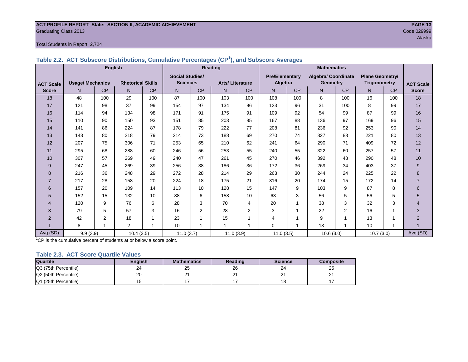#### **ACT PROFILE REPORT- State: SECTION II, ACADEMIC ACHIEVEMENT PAGE 13** Graduating Class 2013 Code 029999

#### Total Students in Report: 2,724

|                  |                         | <b>English</b> |                          |     |                        |                | <b>Reading</b>          |                | <b>Mathematics</b>    |                |                            |                |                        |           |                  |
|------------------|-------------------------|----------------|--------------------------|-----|------------------------|----------------|-------------------------|----------------|-----------------------|----------------|----------------------------|----------------|------------------------|-----------|------------------|
|                  |                         |                |                          |     | <b>Social Studies/</b> |                |                         |                | <b>Pre/Elementary</b> |                | <b>Algebra/ Coordinate</b> |                | <b>Plane Geometry/</b> |           |                  |
| <b>ACT Scale</b> | <b>Usage/ Mechanics</b> |                | <b>Rhetorical Skills</b> |     | <b>Sciences</b>        |                | <b>Arts/Literature</b>  |                | Algebra               |                | <b>Geometry</b>            |                | <b>Trigonometry</b>    |           | <b>ACT Scale</b> |
| <b>Score</b>     | N <sub>1</sub>          | <b>CP</b>      | N                        | CP  | N                      | <b>CP</b>      | N                       | <b>CP</b>      | N <sub>1</sub>        | <b>CP</b>      | N.                         | <b>CP</b>      | N <sub>1</sub>         | <b>CP</b> | <b>Score</b>     |
| 18               | 48                      | 100            | 29                       | 100 | 87                     | 100            | 103                     | 100            | 108                   | 100            | 8                          | 100            | 16                     | 100       | 18               |
| 17               | 121                     | 98             | 37                       | 99  | 154                    | 97             | 134                     | 96             | 123                   | 96             | 31                         | 100            | 8                      | 99        | 17               |
| 16               | 114                     | 94             | 134                      | 98  | 171                    | 91             | 175                     | 91             | 109                   | 92             | 54                         | 99             | 87                     | 99        | 16               |
| 15               | 110                     | 90             | 150                      | 93  | 151                    | 85             | 203                     | 85             | 167                   | 88             | 136                        | 97             | 169                    | 96        | 15               |
| 14               | 141                     | 86             | 224                      | 87  | 178                    | 79             | 222                     | 77             | 208                   | 81             | 236                        | 92             | 253                    | 90        | 14               |
| 13               | 143                     | 80             | 218                      | 79  | 214                    | 73             | 188                     | 69             | 270                   | 74             | 327                        | 83             | 221                    | 80        | 13               |
| 12               | 207                     | 75             | 306                      | 71  | 253                    | 65             | 210                     | 62             | 241                   | 64             | 290                        | 71             | 409                    | 72        | 12               |
| 11               | 295                     | 68             | 288                      | 60  | 246                    | 56             | 253                     | 55             | 240                   | 55             | 322                        | 60             | 257                    | 57        | 11               |
| 10               | 307                     | 57             | 269                      | 49  | 240                    | 47             | 261                     | 45             | 270                   | 46             | 392                        | 48             | 290                    | 48        | 10               |
| 9                | 247                     | 45             | 269                      | 39  | 256                    | 38             | 186                     | 36             | 172                   | 36             | 269                        | 34             | 403                    | 37        | $9\,$            |
| 8                | 216                     | 36             | 248                      | 29  | 272                    | 28             | 214                     | 29             | 263                   | 30             | 244                        | 24             | 225                    | 22        | 8                |
|                  | 217                     | 28             | 158                      | 20  | 224                    | 18             | 175                     | 21             | 316                   | 20             | 174                        | 15             | 172                    | 14        | $\overline{7}$   |
| 6                | 157                     | 20             | 109                      | 14  | 113                    | 10             | 128                     | 15             | 147                   | 9              | 103                        | 9              | 87                     | 8         | 6                |
| 5                | 152                     | 15             | 132                      | 10  | 88                     | 6              | 158                     | 10             | 63                    | 3              | 56                         | 5              | 56                     | 5         | 5                |
| 4                | 120                     | 9              | 76                       | 6   | 28                     | 3              | 70                      | 4              | 20                    | 1              | 38                         | 3              | 32                     | 3         | 4                |
| 3                | 79                      | 5              | 57                       | 3   | 16                     | $\overline{2}$ | 28                      | $\overline{2}$ | 3                     | 1              | 22                         | $\overline{2}$ | 16                     | 1         | 3                |
| $\overline{2}$   | 42                      | 2              | 18                       |     | 23                     |                | 15                      | 1              | 4                     | ٠              | 9                          | 1              | 13                     |           | $\overline{2}$   |
|                  | 8                       | $\overline{ }$ | 2                        |     | 10                     | 1              | $\overline{\mathbf{1}}$ | -1             | $\Omega$              | $\overline{ }$ | 13                         | 1              | 10                     | 4         |                  |
| Avg (SD)         | 9.9(3.9)                |                | 10.4(3.5)                |     | 11.0(3.7)              |                | 11.0(3.9)               |                | 11.0(3.5)             |                | 10.6(3.0)                  |                | 10.7(3.0)              |           | Avg (SD)         |

#### **Table 2.2. ACT Subscore Distributions, Cumulative Percentages (CP<sup>1</sup> ), and Subscore Averages**

 $1$ <sup>T</sup>CP is the cumulative percent of students at or below a score point.

#### **Table 2.3. ACT Score Quartile Values**

| Quartile             | <b>Enalish</b> | <b>Mathematics</b> | Reading | <b>Science</b> | Composite |
|----------------------|----------------|--------------------|---------|----------------|-----------|
| Q3 (75th Percentile) | 24             | 25                 | 26      | 24             | 25        |
| Q2 (50th Percentile) | 20             | <u>_</u>           | n.<br>∠ | ິ<br>-         | <u>_</u>  |
| Q1 (25th Percentile) |                |                    |         | י ^<br>$\circ$ |           |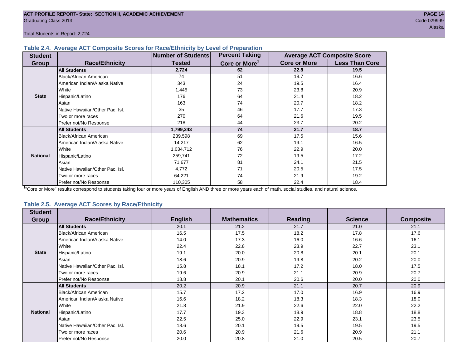#### **Table 2.4. Average ACT Composite Scores for Race/Ethnicity by Level of Preparation**

| <b>Student</b>  |                                 | <b>Number of Students</b> | <b>Percent Taking</b>     |                     | <b>Average ACT Composite Score</b> |
|-----------------|---------------------------------|---------------------------|---------------------------|---------------------|------------------------------------|
| <b>Group</b>    | <b>Race/Ethnicity</b>           | <b>Tested</b>             | Core or More <sup>1</sup> | <b>Core or More</b> | <b>Less Than Core</b>              |
|                 | <b>All Students</b>             | 2,724                     | 62                        | 22.8                | 19.5                               |
|                 | <b>Black/African American</b>   | 74                        | 51                        | 18.7                | 16.6                               |
|                 | American Indian/Alaska Native   | 343                       | 24                        | 19.5                | 16.4                               |
|                 | White                           | 1,445                     | 73                        | 23.8                | 20.9                               |
| <b>State</b>    | Hispanic/Latino                 | 176                       | 64                        | 21.4                | 18.2                               |
|                 | Asian                           | 163                       | 74                        | 20.7                | 18.2                               |
|                 | Native Hawaiian/Other Pac. Isl. | 35                        | 46                        | 17.7                | 17.3                               |
|                 | I Two or more races             | 270                       | 64                        | 21.6                | 19.5                               |
|                 | Prefer not/No Response          | 218                       | 44                        | 23.7                | 20.2                               |
|                 | <b>All Students</b>             | 1,799,243                 | 74                        | 21.7                | 18.7                               |
|                 | Black/African American          | 239,598                   | 69                        | 17.5                | 15.6                               |
|                 | American Indian/Alaska Native   | 14,217                    | 62                        | 19.1                | 16.5                               |
|                 | <b>White</b>                    | 1,034,712                 | 76                        | 22.9                | 20.0                               |
| <b>National</b> | Hispanic/Latino                 | 259,741                   | 72                        | 19.5                | 17.2                               |
|                 | Asian                           | 71,677                    | 81                        | 24.1                | 21.5                               |
|                 | Native Hawaiian/Other Pac. Isl. | 4,772                     | 71                        | 20.5                | 17.5                               |
|                 | Two or more races               | 64,221                    | 74                        | 21.9                | 19.2                               |
|                 | Prefer not/No Response          | 110,305                   | 58                        | 22.4                | 18.4                               |

<sup>1</sup>"Core or More" results correspond to students taking four or more years of English AND three or more years each of math, social studies, and natural science.

#### **Table 2.5. Average ACT Scores by Race/Ethnicity**

| <b>Student</b>  |                                 |                |                    |                |                |                  |
|-----------------|---------------------------------|----------------|--------------------|----------------|----------------|------------------|
| Group           | <b>Race/Ethnicity</b>           | <b>English</b> | <b>Mathematics</b> | <b>Reading</b> | <b>Science</b> | <b>Composite</b> |
|                 | <b>All Students</b>             | 20.1           | 21.2               | 21.7           | 21.0           | 21.1             |
|                 | Black/African American          | 16.5           | 17.5               | 18.2           | 17.8           | 17.6             |
|                 | American Indian/Alaska Native   | 14.0           | 17.3               | 16.0           | 16.6           | 16.1             |
|                 | White                           | 22.4           | 22.8               | 23.9           | 22.7           | 23.1             |
| <b>State</b>    | Hispanic/Latino                 | 19.1           | 20.0               | 20.8           | 20.1           | 20.1             |
|                 | Asian                           | 18.6           | 20.9               | 19.8           | 20.2           | 20.0             |
|                 | Native Hawaiian/Other Pac. Isl. | 15.8           | 18.1               | 17.2           | 18.0           | 17.5             |
|                 | Two or more races               | 19.6           | 20.9               | 21.1           | 20.9           | 20.7             |
|                 | Prefer not/No Response          | 18.8           | 20.1               | 20.6           | 20.0           | 20.0             |
|                 | <b>All Students</b>             | 20.2           | 20.9               | 21.1           | 20.7           | 20.9             |
|                 | <b>Black/African American</b>   | 15.7           | 17.2               | 17.0           | 16.9           | 16.9             |
|                 | American Indian/Alaska Native   | 16.6           | 18.2               | 18.3           | 18.3           | 18.0             |
|                 | White                           | 21.8           | 21.9               | 22.6           | 22.0           | 22.2             |
| <b>National</b> | Hispanic/Latino                 | 17.7           | 19.3               | 18.9           | 18.8           | 18.8             |
|                 | Asian                           | 22.5           | 25.0               | 22.9           | 23.1           | 23.5             |
|                 | Native Hawaiian/Other Pac. Isl. | 18.6           | 20.1               | 19.5           | 19.5           | 19.5             |
|                 | Two or more races               | 20.6           | 20.9               | 21.6           | 20.9           | 21.1             |
|                 | Prefer not/No Response          | 20.0           | 20.8               | 21.0           | 20.5           | 20.7             |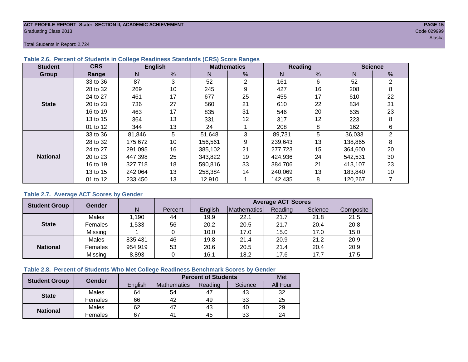#### **ACT PROFILE REPORT- State: SECTION II, ACADEMIC ACHIEVEMENT PAGE 15** Graduating Class 2013 Code 029999

Total Students in Report: 2,724

| <b>Student</b>  | <b>CRS</b> |         | <b>English</b> |         | <b>Mathematics</b> |         | Reading | <b>Science</b> |    |  |
|-----------------|------------|---------|----------------|---------|--------------------|---------|---------|----------------|----|--|
| Group           | Range      | N       | %              | N       | %                  | N       | %       | N              | %  |  |
|                 | 33 to 36   | 87      | 3              | 52      | $\overline{2}$     | 161     | 6       | 52             | 2  |  |
|                 | 28 to 32   | 269     | 10             | 245     | 9                  | 427     | 16      | 208            | 8  |  |
|                 | 24 to 27   | 461     | 17             | 677     | 25                 | 455     | 17      | 610            | 22 |  |
| <b>State</b>    | 20 to 23   | 736     | 27             | 560     | 21                 | 610     | 22      | 834            | 31 |  |
|                 | 16 to 19   | 463     | 17             | 835     | 31                 | 546     | 20      | 635            | 23 |  |
|                 | 13 to 15   | 364     | 13             | 331     | 12                 | 317     | 12      | 223            | 8  |  |
|                 | 01 to 12   | 344     | 13             | 24      |                    | 208     | 8       | 162            | 6  |  |
|                 | 33 to 36   | 81,846  | 5              | 51,648  | 3                  | 89,731  | 5       | 36,033         | 2  |  |
|                 | 28 to 32   | 175,672 | 10             | 156,561 | 9                  | 239,643 | 13      | 138,865        | 8  |  |
|                 | 24 to 27   | 291.095 | 16             | 385,102 | 21                 | 277,723 | 15      | 364,600        | 20 |  |
| <b>National</b> | 20 to 23   | 447,398 | 25             | 343,822 | 19                 | 424,936 | 24      | 542,531        | 30 |  |
|                 | 16 to 19   | 327,718 | 18             | 590,816 | 33                 | 384.706 | 21      | 413,107        | 23 |  |
|                 | 13 to 15   | 242,064 | 13             | 258,384 | 14                 | 240,069 | 13      | 183,840        | 10 |  |
|                 | 01 to 12   | 233,450 | 13             | 12,910  |                    | 142,435 | 8       | 120,267        |    |  |

#### **Table 2.6. Percent of Students in College Readiness Standards (CRS) Score Ranges**

#### **Table 2.7. Average ACT Scores by Gender**

| <b>Student Group</b> | <b>Gender</b>  |         |         | <b>Average ACT Scores</b> |             |         |         |           |  |  |  |  |
|----------------------|----------------|---------|---------|---------------------------|-------------|---------|---------|-----------|--|--|--|--|
|                      |                | N       | Percent | English                   | Mathematics | Reading | Science | Composite |  |  |  |  |
|                      | Males          | 1,190   | 44      | 19.9                      | 22.1        | 21.7    | 21.8    | 21.5      |  |  |  |  |
| <b>State</b>         | <b>Females</b> | 1,533   | 56      | 20.2                      | 20.5        | 21.7    | 20.4    | 20.8      |  |  |  |  |
|                      | Missing        |         |         | 10.0                      | 17.0        | 15.0    | 17.0    | 15.0      |  |  |  |  |
|                      | Males          | 835,431 | 46      | 19.8                      | 21.4        | 20.9    | 21.2    | 20.9      |  |  |  |  |
| <b>National</b>      | Females        | 954,919 | 53      | 20.6                      | 20.5        | 21.4    | 20.4    | 20.9      |  |  |  |  |
|                      | Missing        | 8,893   | 0       | 16.1                      | 18.2        | 17.6    | 17.7    | 17.5      |  |  |  |  |

#### **Table 2.8. Percent of Students Who Met College Readiness Benchmark Scores by Gender**

| <b>Student Group</b> | Gender  |         | <b>Percent of Students</b> |         |         |          |  |  |  |  |
|----------------------|---------|---------|----------------------------|---------|---------|----------|--|--|--|--|
|                      |         | English | Mathematics                | Reading | Science | All Four |  |  |  |  |
| <b>State</b>         | Males   | 64      | 54                         | 47      | 43      | 32       |  |  |  |  |
|                      | Females | 66      | 42                         | 49      | 33      | 25       |  |  |  |  |
| <b>National</b>      | Males   | 62      | 47                         | 43      | 40      | 29       |  |  |  |  |
|                      | Females | 67      | $4^{\prime}$               | 45      | 33      | 24       |  |  |  |  |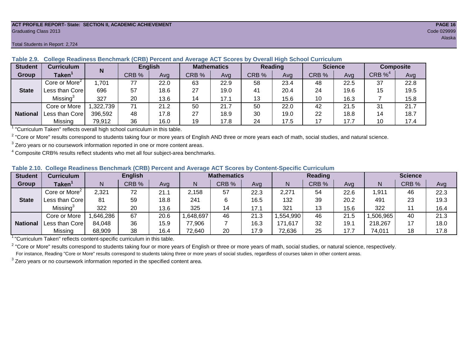#### **ACT PROFILE REPORT- State: SECTION II, ACADEMIC ACHIEVEMENT PAGE 16** Graduating Class 2013 Code 029999

**National**

| able 2.9.      | College Readiness Benchmark (CRB) Percent and Average ACT Scores by Overall High School Curriculum |           |       |                |       |                    |       |                |       |                |                  |      |  |
|----------------|----------------------------------------------------------------------------------------------------|-----------|-------|----------------|-------|--------------------|-------|----------------|-------|----------------|------------------|------|--|
| <b>Student</b> | <b>Curriculum</b>                                                                                  |           |       | <b>English</b> |       | <b>Mathematics</b> |       | <b>Reading</b> |       | <b>Science</b> | <b>Composite</b> |      |  |
| Group          | Taken <sup>1</sup>                                                                                 |           | CRB % | Ava            | CRB % | Avg                | CRB % | Avg            | CRB % | Ava            | CRB $%^4$        | Avg  |  |
|                | Core or More <sup>2</sup>                                                                          | 1,701     | 77    | 22.0           | 63    | 22.9               | 58    | 23.4           | 48    | 22.5           | 37               | 22.8 |  |
| <b>State</b>   | Less than Core                                                                                     | 696       | 57    | 18.6           | 27    | 19.0               | 41    | 20.4           | 24    | 19.6           | 15               | 19.5 |  |
|                | Missing <sup>3</sup>                                                                               | 327       | 20    | 13.6           | 14    | 17.1               |       | 15.6           | 10    | 16.3           |                  | 15.8 |  |
|                | Core or More                                                                                       | 1,322,739 | 71    | 21.2           | 50    | 21.7               | 50    | 22.0           | 42    | 21.5           | 31               | 21.7 |  |
| National       | Less than Core                                                                                     | 396,592   | 48    | 17.8           | 27    | 18.9               | 30    | 19.0           | 22    | 18.8           |                  | 18.7 |  |

Missing | 79,912 | 36 | 16.0 | 19 | 17.8 | 24 | 17.5 | 17 | 17.7 | 10 | 17.4

#### **Table 2.9. College Readiness Benchmark (CRB) Percent and Average ACT Scores by Overall High School Curriculum**

<sup>1</sup> "Curriculum Taken" reflects overall high school curriculum in this table.

 $^2$  "Core or More" results correspond to students taking four or more years of English AND three or more years each of math, social studies, and natural science.

 $3$  Zero years or no coursework information reported in one or more content areas.

 $4$  Composite CRB% results reflect students who met all four subject-area benchmarks.

#### **Table 2.10. College Readiness Benchmark (CRB) Percent and Average ACT Scores by Content-Specific Curriculum**

| <b>Student</b>  | Curriculum                |          | <b>English</b> |      |          | <b>Mathematics</b> |      |          | Reading |      |          | <b>Science</b> |      |  |
|-----------------|---------------------------|----------|----------------|------|----------|--------------------|------|----------|---------|------|----------|----------------|------|--|
| Group           | <b>Taken</b>              |          | CRB %          | Avg  |          | CRB %              | Avg  | N        | CRB %   | Avg  | N        | CRB %          | Avg  |  |
|                 | Core or More <sup>2</sup> | 2,321    | 72             | 21.1 | 2.158    | 57                 | 22.3 | 2,271    | 54      | 22.6 | 1,911    | 46             | 22.3 |  |
| <b>State</b>    | Less than Core            | 81       | 59             | 18.8 | 241      |                    | 16.5 | 132      | 39      | 20.2 | 491      | 23             | 19.3 |  |
|                 | Missing <sup>3</sup>      | 322      | 20             | 13.6 | 325      | 14                 | 17.1 | 321      | 13      | 15.6 | 322      |                | 16.4 |  |
|                 | Core or More              | ,646,286 | 67             | 20.6 | ,648,697 | 46                 | 21.3 | .554,990 | 46      | 21.5 | .506.965 | 40             | 21.3 |  |
| <b>National</b> | Less than Core            | 84,048   | 36             | 15.9 | 77,906   |                    | 16.3 | 171,617  | 32      | 19.7 | 218,267  |                | 18.0 |  |
|                 | Missing                   | 68,909   | 38             | 16.4 | 72,640   | 20                 | 17.9 | 72,636   | 25      | 17.7 | 74,011   | 18             | 17.8 |  |

<sup>1</sup>"Curriculum Taken" reflects content-specific curriculum in this table.

<sup>2</sup> "Core or More" results correspond to students taking four or more years of English or three or more years of math, social studies, or natural science, respectively. For instance, Reading "Core or More" results correspond to students taking three or more years of social studies, regardless of courses taken in other content areas.

 $3$  Zero years or no coursework information reported in the specified content area.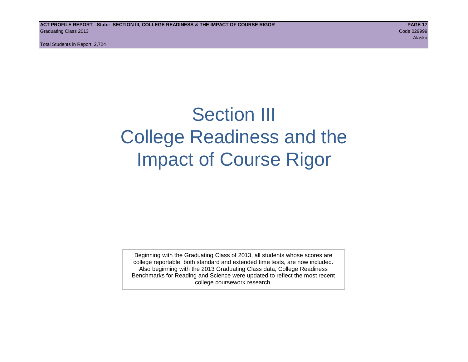## Section III College Readiness and the Impact of Course Rigor

Beginning with the Graduating Class of 2013, all students whose scores are college reportable, both standard and extended time tests, are now included. Also beginning with the 2013 Graduating Class data, College Readiness Benchmarks for Reading and Science were updated to reflect the most recent college coursework research.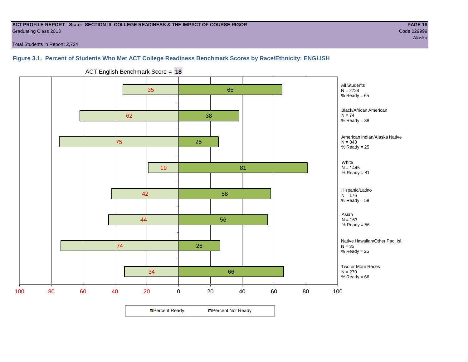#### **ACT PROFILE REPORT - State: SECTION III, COLLEGE READINESS & THE IMPACT OF COURSE RIGOR PAGE 18** Graduating Class 2013 Code 029999

Total Students in Report: 2,724

#### **Figure 3.1. Percent of Students Who Met ACT College Readiness Benchmark Scores by Race/Ethnicity: ENGLISH**



ACT English Benchmark Score = **18**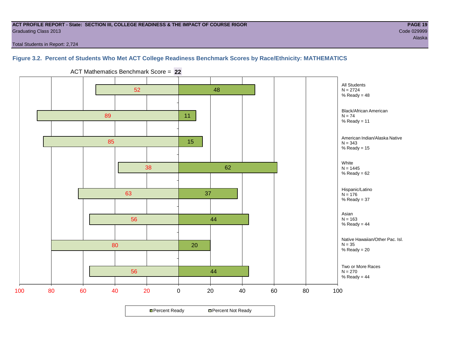#### **ACT PROFILE REPORT - State: SECTION III, COLLEGE READINESS & THE IMPACT OF COURSE RIGOR PAGE 19** Graduating Class 2013 Code 029999

Total Students in Report: 2,724

#### **Figure 3.2. Percent of Students Who Met ACT College Readiness Benchmark Scores by Race/Ethnicity: MATHEMATICS**



ACT Mathematics Benchmark Score = **22**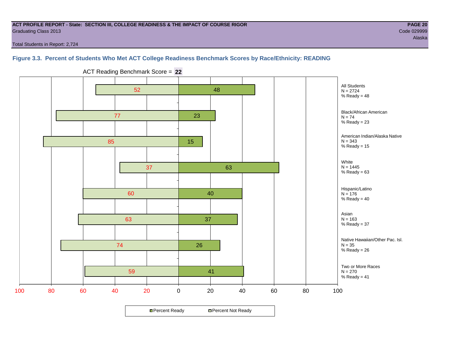#### **ACT PROFILE REPORT - State: SECTION III, COLLEGE READINESS & THE IMPACT OF COURSE RIGOR PAGE 20** Graduating Class 2013 Code 029999

Total Students in Report: 2,724

#### **Figure 3.3. Percent of Students Who Met ACT College Readiness Benchmark Scores by Race/Ethnicity: READING**



ACT Reading Benchmark Score = **22**

**□ Percent Ready DPercent Not Ready**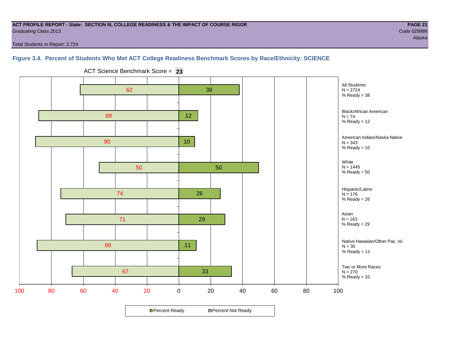#### **ACT PROFILE REPORT - State: SECTION III, COLLEGE READINESS & THE IMPACT OF COURSE RIGOR PAGE 21** Graduating Class 2013 Code 029999

Alaska

Total Students in Report: 2,724

#### **Figure 3.4. Percent of Students Who Met ACT College Readiness Benchmark Scores by Race/Ethnicity: SCIENCE**



ACT Science Benchmark Score = **23**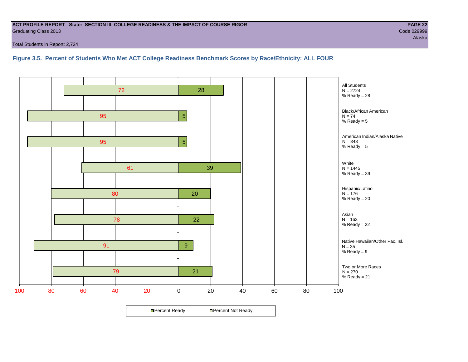#### **ACT PROFILE REPORT - State: SECTION III, COLLEGE READINESS & THE IMPACT OF COURSE RIGOR PAGE 22** Graduating Class 2013 Code 029999

Total Students in Report: 2,724

#### **Figure 3.5. Percent of Students Who Met ACT College Readiness Benchmark Scores by Race/Ethnicity: ALL FOUR**

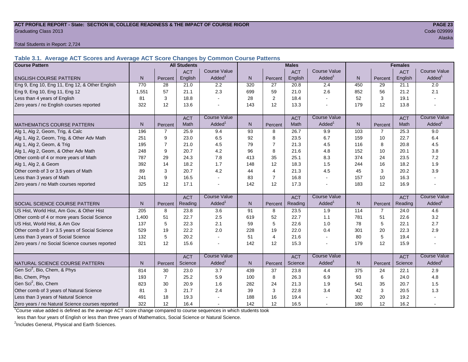#### **ACT PROFILE REPORT - State: SECTION III, COLLEGE READINESS & THE IMPACT OF COURSE RIGOR PAGE 23** Graduating Class 2013 Code 029999

Total Students in Report: 2,724

**Table 3.1. Average ACT Scores and Average ACT Score Changes by Common Course Patterns**

| <b>Course Pattern</b>                            |                |                | <b>All Students</b> |                     |     | <b>Males</b>   |            | <b>Females</b>      |     |                |            |                        |
|--------------------------------------------------|----------------|----------------|---------------------|---------------------|-----|----------------|------------|---------------------|-----|----------------|------------|------------------------|
|                                                  |                |                | <b>ACT</b>          | <b>Course Value</b> |     |                | <b>ACT</b> | <b>Course Value</b> |     |                | <b>ACT</b> | <b>Course Value</b>    |
| <b>ENGLISH COURSE PATTERN</b>                    | N.             | Percent        | English             | Added <sup>1</sup>  | N.  | Percent        | English    | Added               | N   | Percent        | English    | A d d e d <sup>1</sup> |
| Eng 9, Eng 10, Eng 11, Eng 12, & Other English   | 770            | 28             | 21.0                | 2.2                 | 320 | 27             | 20.8       | 2.4                 | 450 | 29             | 21.1       | 2.0                    |
| Eng 9, Eng 10, Eng 11, Eng 12                    | 1,551          | 57             | 21.1                | 2.3                 | 699 | 59             | 21.0       | 2.6                 | 852 | 56             | 21.2       | 2.1                    |
| Less than 4 years of English                     | 81             | 3              | 18.8                |                     | 28  | 2              | 18.4       |                     | 52  | 3              | 19.1       |                        |
| Zero years / no English courses reported         | 322            | 12             | 13.6                |                     | 143 | 12             | 13.3       |                     | 179 | 12             | 13.8       |                        |
|                                                  |                |                | <b>ACT</b>          | <b>Course Value</b> |     |                | <b>ACT</b> | <b>Course Value</b> |     |                | <b>ACT</b> | <b>Course Value</b>    |
| <b>MATHEMATICS COURSE PATTERN</b>                | N <sub>1</sub> | Percent        | Math                | Added               | N.  | Percent        | Math       | Added <sup>1</sup>  | N   | Percent        | Math       | Added <sup>1</sup>     |
| Alg 1, Alg 2, Geom, Trig, & Calc                 | 196            | $\overline{7}$ | 25.9                | 9.4                 | 93  | 8              | 26.7       | 9.9                 | 103 | $\overline{7}$ | 25.3       | 9.0                    |
| Alg 1, Alg 2, Geom, Trig, & Other Adv Math       | 251            | 9              | 23.0                | 6.5                 | 92  | 8              | 23.5       | 6.7                 | 159 | 10             | 22.7       | 6.4                    |
| Alg 1, Alg 2, Geom, & Trig                       | 195            | $\overline{7}$ | 21.0                | 4.5                 | 79  | $\overline{7}$ | 21.3       | 4.5                 | 116 | 8              | 20.8       | 4.5                    |
| Alg 1, Alg 2, Geom, & Other Adv Math             | 248            | 9              | 20.7                | 4.2                 | 96  | 8              | 21.6       | 4.8                 | 152 | 10             | 20.1       | 3.8                    |
| Other comb of 4 or more years of Math            | 787            | 29             | 24.3                | 7.8                 | 413 | 35             | 25.1       | 8.3                 | 374 | 24             | 23.5       | 7.2                    |
| Alg 1, Alg 2, & Geom                             | 392            | 14             | 18.2                | 1.7                 | 148 | 12             | 18.3       | 1.5                 | 244 | 16             | 18.2       | 1.9                    |
| Other comb of 3 or 3.5 years of Math             | 89             | 3              | 20.7                | 4.2                 | 44  | $\overline{4}$ | 21.3       | 4.5                 | 45  | 3              | 20.2       | 3.9                    |
| Less than 3 years of Math                        | 241            | 9              | 16.5                |                     | 83  | $\overline{7}$ | 16.8       | $\overline{a}$      | 157 | 10             | 16.3       |                        |
| Zero years / no Math courses reported            | 325            | 12             | 17.1                |                     | 142 | 12             | 17.3       | $\overline{a}$      | 183 | 12             | 16.9       |                        |
|                                                  |                |                | <b>ACT</b>          | <b>Course Value</b> |     |                | <b>ACT</b> | <b>Course Value</b> |     |                | <b>ACT</b> | <b>Course Value</b>    |
| SOCIAL SCIENCE COURSE PATTERN                    | N.             | Percent        | Reading             | Added               | N   | Percent        | Reading    | Added               | N   | Percent        | Reading    | A d d e d <sup>1</sup> |
| US Hist, World Hist, Am Gov, & Other Hist        | 205            | 8              | 23.8                | 3.6                 | 91  | 8              | 23.5       | 1.9                 | 114 | $\overline{7}$ | 24.0       | 4.6                    |
| Other comb of 4 or more years Social Science     | 1,400          | 51             | 22.7                | 2.5                 | 619 | 52             | 22.7       | 1.1                 | 781 | 51             | 22.6       | 3.2                    |
| US Hist, World Hist, & Am Gov                    | 137            | 5              | 22.3                | 2.1                 | 59  | 5              | 22.6       | 1.0                 | 78  | 5              | 22.1       | 2.7                    |
| Other comb of 3 or 3.5 years of Social Science   | 529            | 19             | 22.2                | 2.0                 | 228 | 19             | 22.0       | 0.4                 | 301 | 20             | 22.3       | 2.9                    |
| Less than 3 years of Social Science              | 132            | 5              | 20.2                |                     | 51  | $\overline{4}$ | 21.6       | $\sim$              | 80  | 5              | 19.4       |                        |
| Zero years / no Social Science courses reported  | 321            | 12             | 15.6                |                     | 142 | 12             | 15.3       |                     | 179 | 12             | 15.9       |                        |
|                                                  |                |                | <b>ACT</b>          | <b>Course Value</b> |     |                | <b>ACT</b> | <b>Course Value</b> |     |                | <b>ACT</b> | <b>Course Value</b>    |
| NATURAL SCIENCE COURSE PATTERN                   | N <sub>1</sub> | Percent        | Science             | Added               | N.  | Percent        | Science    | Added               | N   | Percent        | Science    | Added <sup>1</sup>     |
| Gen Sci <sup>2</sup> , Bio, Chem, & Phys         | 814            | 30             | 23.0                | 3.7                 | 439 | 37             | 23.8       | 4.4                 | 375 | 24             | 22.1       | 2.9                    |
| Bio, Chem, Phys                                  | 193            | $\overline{7}$ | 25.2                | 5.9                 | 100 | 8              | 26.3       | 6.9                 | 93  | 6              | 24.0       | 4.8                    |
| Gen Sci <sup>2</sup> , Bio, Chem                 | 823            | 30             | 20.9                | 1.6                 | 282 | 24             | 21.3       | 1.9                 | 541 | 35             | 20.7       | 1.5                    |
| Other comb of 3 years of Natural Science         | 81             | 3              | 21.7                | 2.4                 | 39  | 3              | 22.8       | 3.4                 | 42  | 3              | 20.5       | 1.3                    |
| Less than 3 years of Natural Science             | 491            | 18             | 19.3                |                     | 188 | 16             | 19.4       |                     | 302 | 20             | 19.2       |                        |
| Zero years / no Natural Science courses reported | 322            | 12             | 16.4                |                     | 142 | 12             | 16.5       |                     | 180 | 12             | 16.2       |                        |

<sup>1</sup>Course value added is defined as the average ACT score change compared to course sequences in which students took

less than four years of English or less than three years of Mathematics, Social Science or Natural Science.

<sup>2</sup>Includes General, Physical and Earth Sciences.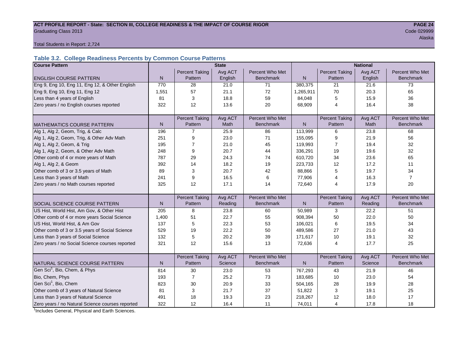#### ACT PROFILE REPORT - State: SECTION III, COLLEGE READINESS & THE IMPACT OF COURSE RIGOR **PAGE 24** Graduating Class 2013 Code 029999

Alaska (1999) - Alaska (1999) - Alaska (1999) - Alaska (1999) - Alaska (1999) - Alaska (1999) - Alaska (1999)

Total Students in Report: 2,724

#### **Table 3.2. College Readiness Percents by Common Course Patterns**

| <b>Course Pattern</b>                            | <b>State</b> |                       |         |                  |              | <b>National</b>       |         |                  |  |  |
|--------------------------------------------------|--------------|-----------------------|---------|------------------|--------------|-----------------------|---------|------------------|--|--|
|                                                  |              | <b>Percent Taking</b> | Avg ACT | Percent Who Met  |              | <b>Percent Taking</b> | Avg ACT | Percent Who Met  |  |  |
| <b>ENGLISH COURSE PATTERN</b>                    | $\mathsf{N}$ | Pattern               | English | <b>Benchmark</b> | $\mathsf{N}$ | Pattern               | English | <b>Benchmark</b> |  |  |
| Eng 9, Eng 10, Eng 11, Eng 12, & Other English   | 770          | 28                    | 21.0    | 71               | 380,375      | 21                    | 21.6    | 73               |  |  |
| Eng 9, Eng 10, Eng 11, Eng 12                    | 1,551        | 57                    | 21.1    | 72               | 1,265,911    | 70                    | 20.3    | 65               |  |  |
| Less than 4 years of English                     | 81           | 3                     | 18.8    | 59               | 84,048       | 5                     | 15.9    | 36               |  |  |
| Zero years / no English courses reported         | 322          | 12                    | 13.6    | 20               | 68,909       | $\overline{4}$        | 16.4    | 38               |  |  |
|                                                  |              |                       |         |                  |              |                       |         |                  |  |  |
|                                                  |              | <b>Percent Taking</b> | Avg ACT | Percent Who Met  |              | Percent Taking        | Avg ACT | Percent Who Met  |  |  |
| <b>MATHEMATICS COURSE PATTERN</b>                | N            | Pattern               | Math    | <b>Benchmark</b> | N            | Pattern               | Math    | <b>Benchmark</b> |  |  |
| Alg 1, Alg 2, Geom, Trig, & Calc                 | 196          | 7                     | 25.9    | 86               | 113,999      | 6                     | 23.8    | 68               |  |  |
| Alg 1, Alg 2, Geom, Trig, & Other Adv Math       | 251          | 9                     | 23.0    | 71               | 155,095      | 9                     | 21.9    | 56               |  |  |
| Alg 1, Alg 2, Geom, & Trig                       | 195          | $\overline{7}$        | 21.0    | 45               | 119,993      | $\overline{7}$        | 19.4    | 32               |  |  |
| Alg 1, Alg 2, Geom, & Other Adv Math             | 248          | 9                     | 20.7    | 44               | 336,291      | 19                    | 19.6    | 32               |  |  |
| Other comb of 4 or more years of Math            | 787          | 29                    | 24.3    | 74               | 610,720      | 34                    | 23.6    | 65               |  |  |
| Alg 1, Alg 2, & Geom                             | 392          | 14                    | 18.2    | 19               | 223,733      | 12                    | 17.2    | 11               |  |  |
| Other comb of 3 or 3.5 years of Math             | 89           | 3                     | 20.7    | 42               | 88,866       | 5                     | 19.7    | 34               |  |  |
| Less than 3 years of Math                        | 241          | 9                     | 16.5    | 6                | 77,906       | 4                     | 16.3    | $\overline{7}$   |  |  |
| Zero years / no Math courses reported            | 325          | 12                    | 17.1    | 14               | 72,640       | 4                     | 17.9    | 20               |  |  |
|                                                  |              |                       |         |                  |              |                       |         |                  |  |  |
|                                                  |              | <b>Percent Taking</b> | Avg ACT | Percent Who Met  |              | <b>Percent Taking</b> | Avg ACT | Percent Who Met  |  |  |
| <b>SOCIAL SCIENCE COURSE PATTERN</b>             | N            | Pattern               | Reading | <b>Benchmark</b> | $\mathsf{N}$ | Pattern               | Reading | <b>Benchmark</b> |  |  |
| US Hist, World Hist, Am Gov, & Other Hist        | 205          | 8                     | 23.8    | 60               | 50,989       | 3                     | 22.2    | 51               |  |  |
| Other comb of 4 or more years Social Science     | 1,400        | 51                    | 22.7    | 55               | 908,394      | 50                    | 22.0    | 50               |  |  |
| US Hist, World Hist, & Am Gov                    | 137          | 5                     | 22.3    | 53               | 106,021      | 6                     | 19.5    | 34               |  |  |
| Other comb of 3 or 3.5 years of Social Science   | 529          | 19                    | 22.2    | 50               | 489,586      | 27                    | 21.0    | 43               |  |  |
| Less than 3 years of Social Science              | 132          | 5                     | 20.2    | 39               | 171,617      | 10                    | 19.1    | 32               |  |  |
| Zero years / no Social Science courses reported  | 321          | 12                    | 15.6    | 13               | 72,636       | 4                     | 17.7    | 25               |  |  |
|                                                  |              |                       |         |                  |              |                       |         |                  |  |  |
|                                                  |              | <b>Percent Taking</b> | Avg ACT | Percent Who Met  |              | <b>Percent Taking</b> | Avg ACT | Percent Who Met  |  |  |
| NATURAL SCIENCE COURSE PATTERN                   | N            | Pattern               | Science | <b>Benchmark</b> | $\mathsf{N}$ | Pattern               | Science | <b>Benchmark</b> |  |  |
| Gen Sci <sup>1</sup> , Bio, Chem, & Phys         | 814          | 30                    | 23.0    | 53               | 767,293      | 43                    | 21.9    | 46               |  |  |
| Bio, Chem, Phys                                  | 193          | $\overline{7}$        | 25.2    | 73               | 183,685      | 10                    | 23.0    | 54               |  |  |
| Gen Sci <sup>1</sup> , Bio, Chem                 | 823          | 30                    | 20.9    | 33               | 504,165      | 28                    | 19.9    | 28               |  |  |
| Other comb of 3 years of Natural Science         | 81           | 3                     | 21.7    | 37               | 51,822       | 3                     | 19.1    | 25               |  |  |
| Less than 3 years of Natural Science             | 491          | 18                    | 19.3    | 23               | 218,267      | 12                    | 18.0    | 17               |  |  |
| Zero years / no Natural Science courses reported | 322          | 12                    | 16.4    | 11               | 74,011       | 4                     | 17.8    | 18               |  |  |

<sup>1</sup>Includes General, Physical and Earth Sciences.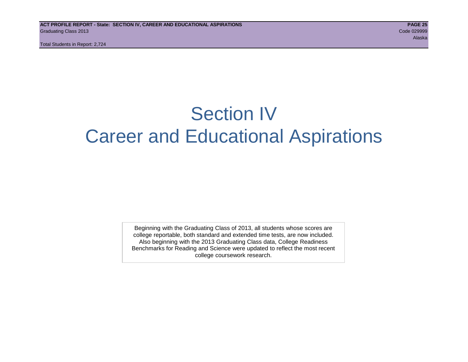## Section IV Career and Educational Aspirations

Beginning with the Graduating Class of 2013, all students whose scores are college reportable, both standard and extended time tests, are now included. Also beginning with the 2013 Graduating Class data, College Readiness Benchmarks for Reading and Science were updated to reflect the most recent college coursework research.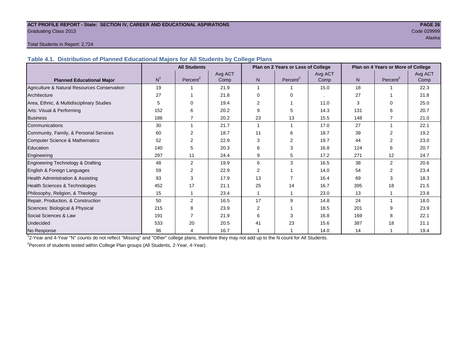#### **ACT PROFILE REPORT - State: SECTION IV, CAREER AND EDUCATIONAL ASPIRATIONS PAGE 26** Graduating Class 2013 Code 029999

### alaska konstruktuuri konstruktuuri konstruktuuri konstruktuuri konstruktuuri konstruktuuri konstruktuuri konst

#### Total Students in Report: 2,724

**Table 4.1. Distribution of Planned Educational Majors for All Students by College Plans**

|                                              | <b>All Students</b><br>Plan on 2 Years or Less of College |                      |         |                |             | Plan on 4 Years or More of College |     |                      |         |
|----------------------------------------------|-----------------------------------------------------------|----------------------|---------|----------------|-------------|------------------------------------|-----|----------------------|---------|
|                                              |                                                           |                      | Avg ACT |                |             | Avg ACT                            |     |                      | Avg ACT |
| <b>Planned Educational Major</b>             | N <sup>1</sup>                                            | Percent <sup>2</sup> | Comp    | N.             | Percent $2$ | Comp                               | N   | Percent <sup>2</sup> | Comp    |
| Agriculture & Natural Resources Conservation | 19                                                        |                      | 21.9    |                |             | 15.0                               | 18  |                      | 22.3    |
| Architecture                                 | 27                                                        |                      | 21.8    | $\Omega$       | $\Omega$    |                                    | 27  |                      | 21.8    |
| Area, Ethnic, & Multidisciplinary Studies    | 5                                                         | 0                    | 19.4    | $\overline{2}$ |             | 11.0                               | 3   | $\Omega$             | 25.0    |
| Arts: Visual & Performing                    | 152                                                       | 6                    | 20.2    | 9              | 5           | 14.3                               | 131 | ิค                   | 20.7    |
| <b>Business</b>                              | 186                                                       | $\overline{7}$       | 20.2    | 23             | 13          | 15.5                               | 148 |                      | 21.0    |
| Communications                               | 30                                                        |                      | 21.7    | -1             |             | 17.0                               | 27  | 1                    | 22.1    |
| Community, Family, & Personal Services       | 60                                                        | 2                    | 18.7    | 11             | 6           | 18.7                               | 39  | $\overline{2}$       | 19.2    |
| <b>Computer Science &amp; Mathematics</b>    | 52                                                        | 2                    | 22.9    | 3              | 2           | 19.7                               | 44  |                      | 23.0    |
| Education                                    | 140                                                       | 5                    | 20.3    | 6              | 3           | 16.8                               | 124 | ิค                   | 20.7    |
| Engineering                                  | 297                                                       | 11                   | 24.4    | 9              | 5           | 17.2                               | 271 | 12                   | 24.7    |
| Engineering Technology & Drafting            | 48                                                        | $\overline{2}$       | 19.9    | 6              | 3           | 16.5                               | 38  | $\overline{2}$       | 20.6    |
| English & Foreign Languages                  | 59                                                        | 2                    | 22.9    | 2              |             | 14.0                               | 54  | 2                    | 23.4    |
| Health Administration & Assisting            | 93                                                        | 3                    | 17.9    | 13             |             | 16.4                               | 69  | 3                    | 18.3    |
| Health Sciences & Technologies               | 452                                                       | 17                   | 21.1    | 25             | 14          | 16.7                               | 395 | 18                   | 21.5    |
| Philosophy, Religion, & Theology             | 15                                                        |                      | 23.4    |                |             | 23.0                               | 13  |                      | 23.8    |
| Repair, Production, & Construction           | 50                                                        | $\overline{2}$       | 16.5    | 17             | 9           | 14.8                               | 24  |                      | 18.0    |
| Sciences: Biological & Physical              | 215                                                       | 8                    | 23.9    | $\overline{2}$ |             | 18.5                               | 201 | 9                    | 23.9    |
| Social Sciences & Law                        | 191                                                       |                      | 21.9    | 6              |             | 16.8                               | 169 | 8                    | 22.1    |
| Undecided                                    | 533                                                       | 20                   | 20.5    | 41             | 23          | 15.6                               | 387 | 18                   | 21.1    |
| No Response                                  | 96                                                        | 4                    | 16.7    |                |             | 14.0                               | 14  |                      | 19.4    |

1 2-Year and 4-Year "N" counts do not reflect "Missing" and "Other" college plans, therefore they may not add up to the N count for All Students.

<sup>2</sup> Percent of students tested within College Plan groups (All Students, 2-Year, 4-Year).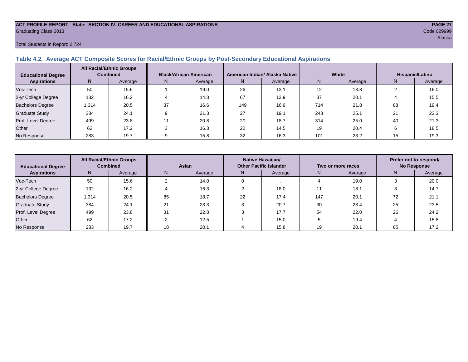#### **ACT PROFILE REPORT - State: SECTION IV, CAREER AND EDUCATIONAL ASPIRATIONS PAGE 27** Graduating Class 2013 Code 029999

#### Total Students in Report: 2,724

#### **Table 4.2. Average ACT Composite Scores for Racial/Ethnic Groups by Post-Secondary Educational Aspirations**

| <b>Educational Degree</b> |       | <b>All Racial/Ethnic Groups</b><br><b>Combined</b> |    | <b>Black/African American</b> |     | American Indian/ Alaska Native |     | White   | Hispanic/Latino |         |  |
|---------------------------|-------|----------------------------------------------------|----|-------------------------------|-----|--------------------------------|-----|---------|-----------------|---------|--|
| <b>Aspirations</b>        | N     | Average                                            | N. | Average                       | N.  | Average                        | N   | Average | N               | Average |  |
| Voc-Tech                  | 50    | 15.6                                               |    | 19.0                          | 26  | 13.1                           | 12  | 18.8    |                 | 16.0    |  |
| 2-yr College Degree       | 132   | 16.2                                               |    | 14.8                          | 67  | 13.9                           | 37  | 20.1    |                 | 15.5    |  |
| <b>Bachelors Degree</b>   | , 314 | 20.5                                               | 37 | 16.6                          | 149 | 16.9                           | 714 | 21.8    | 88              | 19.4    |  |
| Graduate Study            | 384   | 24.1                                               |    | 21.3                          | 27  | 19.1                           | 248 | 25.1    | 21              | 23.3    |  |
| Prof. Level Degree        | 499   | 23.8                                               |    | 20.8                          | 20  | 18.7                           | 314 | 25.0    | 40              | 21.3    |  |
| Other                     | 62    | 17.2                                               |    | 16.3                          | 22  | 14.5                           | 19  | 20.4    |                 | 18.5    |  |
| No Response               | 283   | 19.7                                               |    | 15.8                          | 32  | 16.3                           | 101 | 23.2    | 15              | 19.3    |  |

| <b>Educational Degree</b> | <b>All Racial/Ethnic Groups</b><br><b>Combined</b> |         | Asian |         | <b>Native Hawaiian/</b><br><b>Other Pacific Islander</b> |         | Two or more races |         | Prefer not to respond/<br><b>No Response</b> |         |
|---------------------------|----------------------------------------------------|---------|-------|---------|----------------------------------------------------------|---------|-------------------|---------|----------------------------------------------|---------|
| <b>Aspirations</b>        | N                                                  | Average | N     | Average | N.                                                       | Average | N.                | Average | N                                            | Average |
| Voc-Tech                  | 50                                                 | 15.6    |       | 14.0    |                                                          |         |                   | 19.0    |                                              | 20.0    |
| 2-yr College Degree       | 132                                                | 16.2    |       | 16.3    |                                                          | 18.0    |                   | 18.1    |                                              | 14.7    |
| <b>Bachelors Degree</b>   | 1,314                                              | 20.5    | 85    | 18.7    | 22                                                       | 17.4    | 147               | 20.1    | 72                                           | 21.1    |
| Graduate Study            | 384                                                | 24.7    | 21    | 23.3    |                                                          | 20.7    | 30                | 23.4    | 25                                           | 23.5    |
| Prof. Level Degree        | 499                                                | 23.8    | 31    | 22.8    |                                                          | 17.7    | 54                | 22.0    | 26                                           | 24.2    |
| Other                     | 62                                                 | 17.2    |       | 12.5    |                                                          | 15.0    |                   | 19.4    |                                              | 15.8    |
| No Response               | 283                                                | 19.7    | 18    | 20.1    |                                                          | 15.8    | 19                | 20.1    | 85                                           | 17.2    |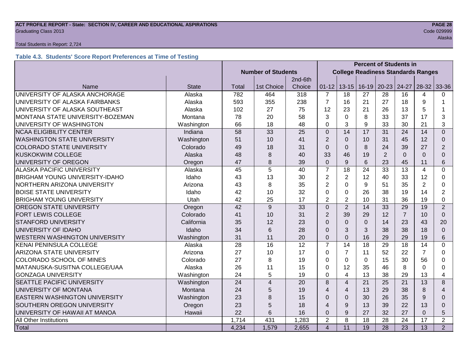#### **ACT PROFILE REPORT - State: SECTION IV, CAREER AND EDUCATIONAL ASPIRATIONS PAGE 28** Code 029999 Craduating Class 2013

#### Total Students in Report: 2,724

#### **Table 4.3. Students' Score Report Preferences at Time of Testing**

|                                       |              |                           |                |                                           | <b>Percent of Students in</b> |                |                 |                 |                 |                |                          |
|---------------------------------------|--------------|---------------------------|----------------|-------------------------------------------|-------------------------------|----------------|-----------------|-----------------|-----------------|----------------|--------------------------|
|                                       |              | <b>Number of Students</b> |                | <b>College Readiness Standards Ranges</b> |                               |                |                 |                 |                 |                |                          |
|                                       |              |                           |                | 2nd-6th                                   |                               |                |                 |                 |                 |                |                          |
| Name                                  | <b>State</b> | Total                     | 1st Choice     | Choice                                    | $01 - 12$                     | $13 - 15$      | $16 - 19$       | $20 - 23$       | $24-27$         | $28-32$        | 33-36                    |
| UNIVERSITY OF ALASKA ANCHORAGE        | Alaska       | 782                       | 464            | 318                                       | $\overline{7}$                | 18             | 27              | 28              | 16              | 4              | 0                        |
| UNIVERSITY OF ALASKA FAIRBANKS        | Alaska       | 593                       | 355            | 238                                       | $\overline{7}$                | 16             | 21              | 27              | 18              | 9              | 1                        |
| UNIVERSITY OF ALASKA SOUTHEAST        | Alaska       | 102                       | 27             | 75                                        | 12                            | 23             | 21              | 26              | 13              | 5              |                          |
| MONTANA STATE UNIVERSITY-BOZEMAN      | Montana      | 78                        | 20             | 58                                        | 3                             | $\mathbf 0$    | 8               | 33              | 37              | 17             | 3                        |
| UNIVERSITY OF WASHINGTON              | Washington   | 66                        | 18             | 48                                        | $\overline{0}$                | 3              | 9               | 33              | 30              | 21             | 3                        |
| <b>NCAA ELIGIBILITY CENTER</b>        | Indiana      | 58                        | 33             | 25                                        | $\mathbf{0}$                  | 14             | 17              | 31              | 24              | 14             | $\Omega$                 |
| <b>WASHINGTON STATE UNIVERSITY</b>    | Washington   | 51                        | 10             | 41                                        | $\overline{2}$                | $\overline{0}$ | 10              | 31              | 45              | 12             | $\Omega$                 |
| <b>COLORADO STATE UNIVERSITY</b>      | Colorado     | 49                        | 18             | 31                                        | $\Omega$                      | $\overline{0}$ | 8               | 24              | 39              | 27             | $\overline{2}$           |
| <b>KUSKOKWIM COLLEGE</b>              | Alaska       | 48                        | 8              | 40                                        | 33                            | 46             | 19              | $\overline{2}$  | $\mathbf{0}$    | $\Omega$       | $\Omega$                 |
| UNIVERSITY OF OREGON                  | Oregon       | 47                        | 8              | 39                                        | $\mathbf 0$                   | 9              | 6               | 23              | 45              | 11             | 6                        |
| <b>ALASKA PACIFIC UNIVERSITY</b>      | Alaska       | 45                        | 5              | 40                                        | $\overline{7}$                | 18             | 24              | 33              | 13              | $\overline{4}$ | $\Omega$                 |
| <b>BRIGHAM YOUNG UNIVERSITY-IDAHO</b> | Idaho        | 43                        | 13             | 30                                        | $\overline{2}$                | $\overline{2}$ | 12              | 40              | 33              | 12             | 0                        |
| NORTHERN ARIZONA UNIVERSITY           | Arizona      | 43                        | 8              | 35                                        | $\overline{2}$                | $\Omega$       | 9               | 51              | 35              | $\overline{2}$ | 0                        |
| <b>BOISE STATE UNIVERSITY</b>         | Idaho        | 42                        | 10             | 32                                        | $\Omega$                      | $\Omega$       | 26              | 38              | 19              | 14             | $\overline{2}$           |
| <b>BRIGHAM YOUNG UNIVERSITY</b>       | Utah         | 42                        | 25             | 17                                        | $\overline{2}$                | $\overline{2}$ | 10              | 31              | 36              | 19             | 0                        |
| <b>OREGON STATE UNIVERSITY</b>        | Oregon       | 42                        | 9              | 33                                        | $\overline{0}$                | $\overline{2}$ | 14              | 33              | 29              | 19             | $\overline{2}$           |
| <b>FORT LEWIS COLLEGE</b>             | Colorado     | 41                        | 10             | 31                                        | $\overline{2}$                | 39             | 29              | 12              | $\overline{7}$  | 10             | $\Omega$                 |
| <b>STANFORD UNIVERSITY</b>            | California   | 35                        | 12             | 23                                        | $\Omega$                      | $\Omega$       | $\Omega$        | 14              | 23              | 43             | 20                       |
| UNIVERSITY OF IDAHO                   | Idaho        | 34                        | 6              | 28                                        | $\Omega$                      | 3              | 3               | 38              | 38              | 18             | $\Omega$                 |
| <b>WESTERN WASHINGTON UNIVERSITY</b>  | Washington   | 31                        | 11             | 20                                        | $\overline{0}$                | $\overline{0}$ | 16              | 29              | 29              | 19             | 6                        |
| <b>KENAI PENINSULA COLLEGE</b>        | Alaska       | 28                        | 16             | 12                                        | $\overline{7}$                | 14             | 18              | 29              | 18              | 14             | 0                        |
| <b>ARIZONA STATE UNIVERSITY</b>       | Arizona      | 27                        | 10             | 17                                        | 0                             | $\overline{7}$ | 11              | 52              | 22              | $\overline{7}$ | 0                        |
| <b>COLORADO SCHOOL OF MINES</b>       | Colorado     | 27                        | 8              | 19                                        | 0                             | $\Omega$       | $\Omega$        | 15              | 30              | 56             | 0                        |
| MATANUSKA-SUSITNA COLLEGE/UAA         | Alaska       | 26                        | 11             | 15                                        | 0                             | 12             | 35              | 46              | 8               | $\Omega$       | 0                        |
| <b>GONZAGA UNIVERSITY</b>             | Washington   | 24                        | 5              | 19                                        | 0                             | 4              | 13              | 38              | 29              | 13             | 4                        |
| <b>SEATTLE PACIFIC UNIVERSITY</b>     | Washington   | 24                        | $\overline{4}$ | 20                                        | 8                             | $\overline{4}$ | 21              | 25              | 21              | 13             | 8                        |
| UNIVERSITY OF MONTANA                 | Montana      | 24                        | 5              | 19                                        | 4                             | $\overline{4}$ | 13              | 29              | 38              | 8              | $\overline{\mathcal{A}}$ |
| <b>EASTERN WASHINGTON UNIVERSITY</b>  | Washington   | 23                        | 8              | 15                                        | $\Omega$                      | $\mathbf 0$    | 30              | 26              | 35              | 9              | $\Omega$                 |
| <b>SOUTHERN OREGON UNIVERSITY</b>     | Oregon       | 23                        | 5              | 18                                        | $\overline{4}$                | 9              | 13              | 39              | 22              | 13             | $\Omega$                 |
| UNIVERSITY OF HAWAII AT MANOA         | Hawaii       | 22                        | 6              | 16                                        | $\mathbf 0$                   | 9              | 27              | 32              | 27              | $\Omega$       | 5                        |
| All Other Institutions                |              | 1,714                     | 431            | 1,283                                     | $\overline{2}$                | 8              | 18              | 28              | 24              | 17             | $\overline{2}$           |
| Total                                 |              | 4,234                     | 1,579          | 2,655                                     | $\overline{4}$                | 11             | $\overline{19}$ | $\overline{28}$ | $\overline{23}$ | 13             | $\overline{2}$           |

alaska konstruktura (h. 1938).<br>Alaska konstruktura (h. 1938).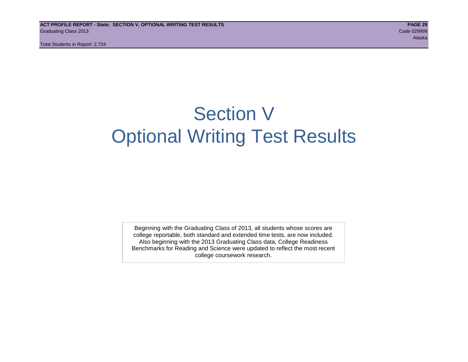## Section V Optional Writing Test Results

Beginning with the Graduating Class of 2013, all students whose scores are college reportable, both standard and extended time tests, are now included. Also beginning with the 2013 Graduating Class data, College Readiness Benchmarks for Reading and Science were updated to reflect the most recent college coursework research.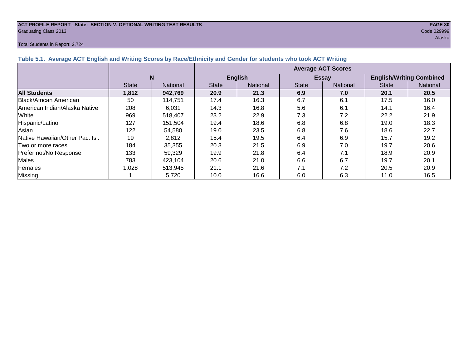### **ACT PROFILE REPORT - State: SECTION V, OPTIONAL WRITING TEST RESULTS PAGE 30**

#### Total Students in Report: 2,724

| Graduating Class 2013                                                                                            | Code 029999 |
|------------------------------------------------------------------------------------------------------------------|-------------|
|                                                                                                                  | Alaska      |
| Total Students in Report: 2,724                                                                                  |             |
| Table 5.1. Average ACT English and Writing Scores by Race/Ethnicity and Gender for students who took ACT Writing |             |

|                                        |              |                 | <b>Average ACT Scores</b> |                |              |                 |                                 |                 |  |  |  |
|----------------------------------------|--------------|-----------------|---------------------------|----------------|--------------|-----------------|---------------------------------|-----------------|--|--|--|
|                                        | N            |                 |                           | <b>English</b> |              | <b>Essay</b>    | <b>English/Writing Combined</b> |                 |  |  |  |
|                                        | <b>State</b> | <b>National</b> | <b>State</b>              | National       | <b>State</b> | <b>National</b> | <b>State</b>                    | <b>National</b> |  |  |  |
| <b>All Students</b>                    | 1,812        | 942,769         | 20.9                      | 21.3           | 6.9          | 7.0             | 20.1                            | 20.5            |  |  |  |
| Black/African American                 | 50           | 114,751         | 17.4                      | 16.3           | 6.7          | 6.1             | 17.5                            | 16.0            |  |  |  |
| American Indian/Alaska Native          | 208          | 6,031           | 14.3                      | 16.8           | 5.6          | 6.1             | 14.1                            | 16.4            |  |  |  |
| White                                  | 969          | 518.407         | 23.2                      | 22.9           | 7.3          | 7.2             | 22.2                            | 21.9            |  |  |  |
| Hispanic/Latino                        | 127          | 151.504         | 19.4                      | 18.6           | 6.8          | 6.8             | 19.0                            | 18.3            |  |  |  |
| Asian                                  | 122          | 54,580          | 19.0                      | 23.5           | 6.8          | 7.6             | 18.6                            | 22.7            |  |  |  |
| <b>Native Hawaiian/Other Pac. Isl.</b> | 19           | 2,812           | 15.4                      | 19.5           | 6.4          | 6.9             | 15.7                            | 19.2            |  |  |  |
| ITwo or more races                     | 184          | 35,355          | 20.3                      | 21.5           | 6.9          | 7.0             | 19.7                            | 20.6            |  |  |  |
| Prefer not/No Response                 | 133          | 59,329          | 19.9                      | 21.8           | 6.4          | 7.1             | 18.9                            | 20.9            |  |  |  |
| <b>Males</b>                           | 783          | 423,104         | 20.6                      | 21.0           | 6.6          | 6.7             | 19.7                            | 20.1            |  |  |  |
| Females                                | 1,028        | 513,945         | 21.1                      | 21.6           | 7.1          | 7.2             | 20.5                            | 20.9            |  |  |  |
| <b>Missing</b>                         |              | 5,720           | 10.0                      | 16.6           | 6.0          | 6.3             | 11.0                            | 16.5            |  |  |  |